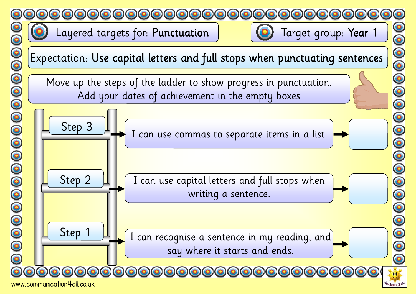





I can recognise a sentence in my reading, and say where it starts and ends.

00000000000000000



Step 1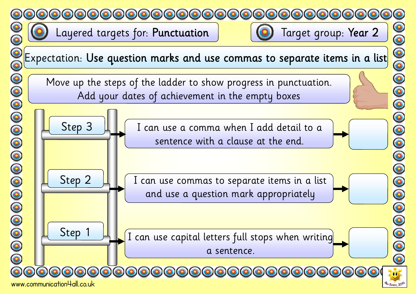



000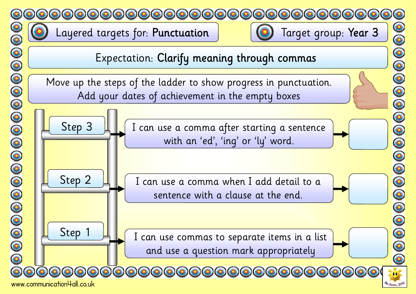

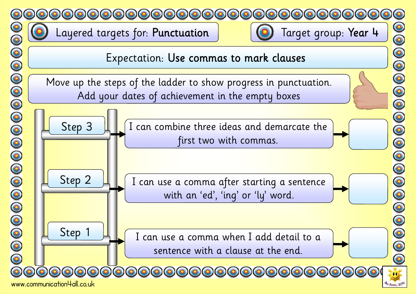



www.communication4all.co.uk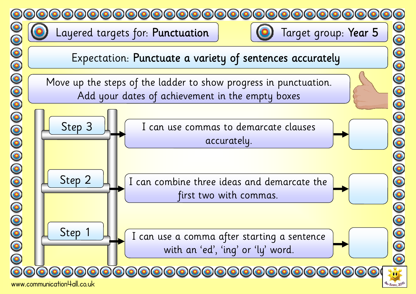